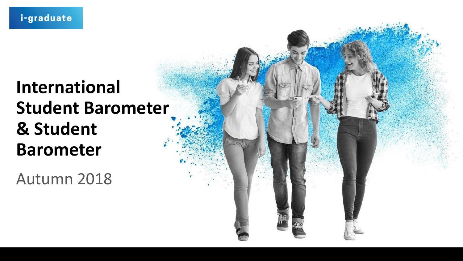### **International Student Barometer & Student Barometer**

Autumn 2018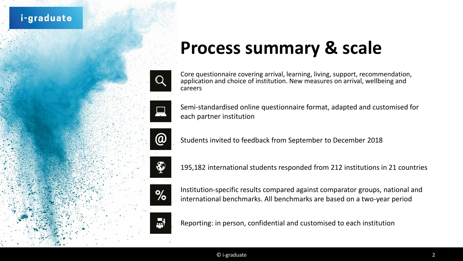



### **Process summary & scale**

Core questionnaire covering arrival, learning, living, support, recommendation, application and choice of institution. New measures on arrival, wellbeing and careers

Semi-standardised online questionnaire format, adapted and customised for each partner institution

Students invited to feedback from September to December 2018

195,182 international students responded from 212 institutions in 21 countries

Institution-specific results compared against comparator groups, national and international benchmarks. All benchmarks are based on a two-year period

Reporting: in person, confidential and customised to each institution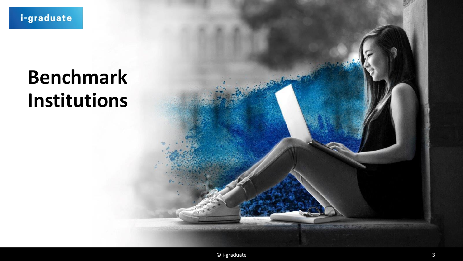# **Benchmark** Institutions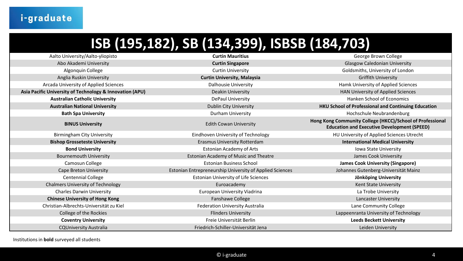#### **ISB (195,182), SB (134,399), ISBSB (184,703)**

| Aalto University/Aalto-yliopisto                         | <b>Curtin Mauritius</b>                                  | George Brown College                                                                                            |
|----------------------------------------------------------|----------------------------------------------------------|-----------------------------------------------------------------------------------------------------------------|
| Abo Akademi University                                   | <b>Curtin Singapore</b>                                  | <b>Glasgow Caledonian University</b>                                                                            |
| Algonquin College                                        | <b>Curtin University</b>                                 | Goldsmiths, University of London                                                                                |
| Anglia Ruskin University                                 | <b>Curtin University, Malaysia</b>                       | <b>Griffith University</b>                                                                                      |
| Arcada University of Applied Sciences                    | <b>Dalhousie University</b>                              | Hamk University of Applied Sciences                                                                             |
| Asia Pacific University of Technology & Innovation (APU) | <b>Deakin University</b>                                 | HAN University of Applied Sciences                                                                              |
| <b>Australian Catholic University</b>                    | DePaul University                                        | Hanken School of Economics                                                                                      |
| <b>Australian National University</b>                    | <b>Dublin City University</b>                            | HKU School of Professional and Continuing Education                                                             |
| <b>Bath Spa University</b>                               | Durham University                                        | Hochschule Neubrandenburg                                                                                       |
| <b>BINUS University</b>                                  | <b>Edith Cowan University</b>                            | Hong Kong Community College (HKCC)/School of Professional<br><b>Education and Executive Development (SPEED)</b> |
| <b>Birmingham City University</b>                        | Eindhoven University of Technology                       | HU University of Applied Sciences Utrecht                                                                       |
| <b>Bishop Grosseteste University</b>                     | <b>Erasmus University Rotterdam</b>                      | <b>International Medical University</b>                                                                         |
| <b>Bond University</b>                                   | <b>Estonian Academy of Arts</b>                          | Iowa State University                                                                                           |
| <b>Bournemouth University</b>                            | Estonian Academy of Music and Theatre                    | James Cook University                                                                                           |
| Camosun College                                          | <b>Estonian Business School</b>                          | <b>James Cook University (Singapore)</b>                                                                        |
| <b>Cape Breton University</b>                            | Estonian Entrepreneurship University of Applied Sciences | Johannes Gutenberg-Universität Mainz                                                                            |
| <b>Centennial College</b>                                | <b>Estonian University of Life Sciences</b>              | Jönköping University                                                                                            |
| <b>Chalmers University of Technology</b>                 | Euroacademy                                              | Kent State University                                                                                           |
| <b>Charles Darwin University</b>                         | European University Viadrina                             | La Trobe University                                                                                             |
| <b>Chinese University of Hong Kong</b>                   | Fanshawe College                                         | <b>Lancaster University</b>                                                                                     |
| Christian-Albrechts-Universität zu Kiel                  | <b>Federation University Australia</b>                   | Lane Community College                                                                                          |
| College of the Rockies                                   | <b>Flinders University</b>                               | Lappeenranta University of Technology                                                                           |
| <b>Coventry University</b>                               | Freie Universität Berlin                                 | <b>Leeds Beckett University</b>                                                                                 |
| <b>CQUniversity Australia</b>                            | Friedrich-Schiller-Universität Jena                      | Leiden University                                                                                               |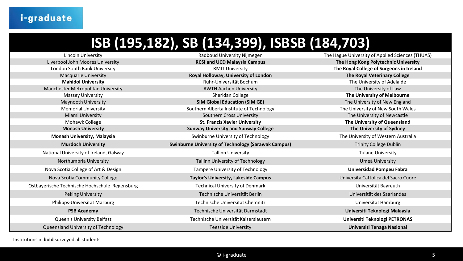#### **ISB (195,182), SB (134,399), ISBSB (184,703)**

Ostbayerische Technische Hochschule Regensburg either auch and Technical University of Denmark and University of Denmark University of Denmark University of Denmark University of Denmark University of Denmark University of

Lincoln University Radboud University Nijmegen The Hague University of Applied Sciences (THUAS) Liverpool John Moores University **RCSI and UCD Malaysia Campus The Hong Kong Polytechnic University** London South Bank University RMIT University **The Royal College of Surgeons in Ireland** Macquarie University **Royal Holloway, University of London The Royal Veterinary College Mahidol University Ruhr-Universität Bochum** Ruhr-Universität Bochum The University of Adelaide Manchester Metropolitan University **RWTH Aachen University RWTH Aachen University** The University of Law Massey University **Sheridan College** Sheridan College **The University of Melbourne** Maynooth University **SIM Global Education (SIM GE)** The University of New England Memorial University **Southern Alberta Institute of Technology** The University of New South Wales Miami University **Southern Cross University** Southern Cross University The University of Newcastle Mohawk College **St. Francis Xavier University The University of Queensland Monash University Sunway University and Sunway College The University of Sydney Monash University, Malaysia** Swinburne University of Technology The University of Western Australia **Murdoch University <b>Swinburne University of Technology (Sarawak Campus)** Trinity College Dublin National University of Ireland, Galway Tallinn University Tulane University Northumbria University **Northumbria University Community Tallinn** University of Technology **Umeå University Umeå University** Nova Scotia College of Art & Design Tampere University of Technology **Universidad Pompeu Fabra** Nova Scotia Community College **Taylor's University, Lakeside Campus** Universita Cattolica del Sacro Cuore Peking University Technische Universität Berlin universität Berlin Universität des Saarlandes Philipps-Universität Marburg Technische Universität Chemnitz and Dividence Universität Chemnitz Universität Hamburg **PSB Academy** Technische Universität Darmstadt **Universiti Teknologi Malaysia** Queen's University Belfast Technische Universität Kaiserslautern **Universiti Teknologi PETRONAS** Queensland University of Technology Teesside University **Universiti Tenaga Nasional**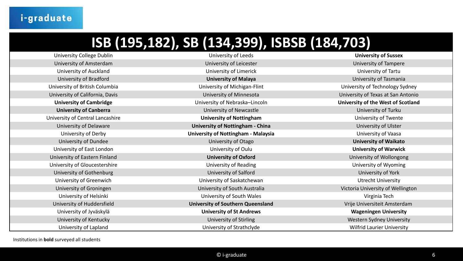#### **ISB (195,182), SB (134,399), ISBSB (184,703)**

| University College Dublin        | University of Leeds                        | <b>University of Sussex</b>        |
|----------------------------------|--------------------------------------------|------------------------------------|
| University of Amsterdam          | University of Leicester                    | <b>University of Tampere</b>       |
| University of Auckland           | University of Limerick                     | University of Tartu                |
| University of Bradford           | <b>University of Malaya</b>                | University of Tasmania             |
| University of British Columbia   | University of Michigan-Flint               | University of Technology Sydney    |
| University of California, Davis  | University of Minnesota                    | University of Texas at San Antonio |
| <b>University of Cambridge</b>   | University of Nebraska-Lincoln             | University of the West of Scotland |
| <b>University of Canberra</b>    | <b>University of Newcastle</b>             | University of Turku                |
| University of Central Lancashire | <b>University of Nottingham</b>            | University of Twente               |
| University of Delaware           | <b>University of Nottingham - China</b>    | University of Ulster               |
| University of Derby              | <b>University of Nottingham - Malaysia</b> | University of Vaasa                |
| University of Dundee             | University of Otago                        | <b>University of Waikato</b>       |
| University of East London        | University of Oulu                         | <b>University of Warwick</b>       |
| University of Eastern Finland    | <b>University of Oxford</b>                | University of Wollongong           |
| University of Gloucestershire    | University of Reading                      | University of Wyoming              |
| University of Gothenburg         | University of Salford                      | University of York                 |
| University of Greenwich          | University of Saskatchewan                 | <b>Utrecht University</b>          |
| University of Groningen          | University of South Australia              | Victoria University of Wellington  |
| University of Helsinki           | University of South Wales                  | Virginia Tech                      |
| University of Huddersfield       | <b>University of Southern Queensland</b>   | Vrije Universiteit Amsterdam       |
| University of Jyväskylä          | <b>University of St Andrews</b>            | <b>Wageningen University</b>       |
| University of Kentucky           | University of Stirling                     | Western Sydney University          |
| University of Lapland            | University of Strathclyde                  | <b>Wilfrid Laurier University</b>  |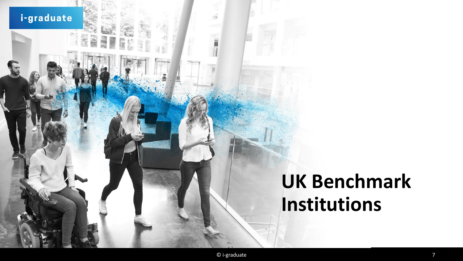i-graduate

÷,

38

# **UK Benchmark** Institutions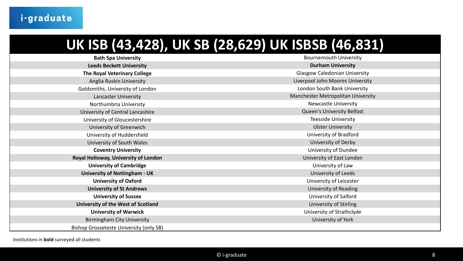### **UK ISB (43,428), UK SB (28,629) UK ISBSB (46,831)**

| <b>Bath Spa University</b>                                  | <b>Bournemouth University</b>        |  |
|-------------------------------------------------------------|--------------------------------------|--|
| <b>Leeds Beckett University</b>                             | <b>Durham University</b>             |  |
| The Royal Veterinary College                                | <b>Glasgow Caledonian University</b> |  |
| Anglia Ruskin University                                    | Liverpool John Moores University     |  |
| Goldsmiths, University of London                            | London South Bank University         |  |
| <b>Lancaster University</b>                                 | Manchester Metropolitan University   |  |
| Northumbria University                                      | <b>Newcastle University</b>          |  |
| University of Central Lancashire                            | Queen's University Belfast           |  |
| University of Gloucestershire                               | <b>Teesside University</b>           |  |
| University of Greenwich                                     | <b>Ulster University</b>             |  |
| University of Huddersfield                                  | University of Bradford               |  |
| University of South Wales                                   | University of Derby                  |  |
| University of Dundee<br><b>Coventry University</b>          |                                      |  |
| Royal Holloway, University of London                        | University of East London            |  |
| <b>University of Cambridge</b>                              | University of Law                    |  |
| <b>University of Nottingham - UK</b><br>University of Leeds |                                      |  |
| <b>University of Oxford</b>                                 | University of Leicester              |  |
| <b>University of St Andrews</b>                             | University of Reading                |  |
| <b>University of Sussex</b>                                 | University of Salford                |  |
| University of the West of Scotland                          | <b>University of Stirling</b>        |  |
| <b>University of Warwick</b>                                | University of Strathclyde            |  |
| <b>Birmingham City University</b>                           | University of York                   |  |
| Bishop Grosseteste University (only SB)                     |                                      |  |